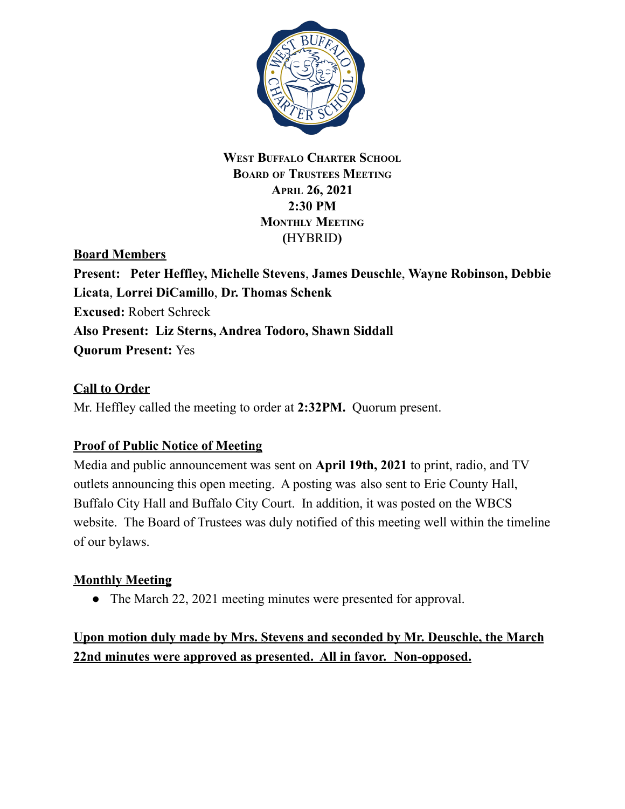

#### **WEST BUFFALO CHARTER SCHOOL BOARD OF TRUSTEES MEETING APRIL 26, 2021 2:30 PM MONTHLY MEETING (**HYBRID**)**

#### **Board Members**

**Present: Peter Heffley, Michelle Stevens**, **James Deuschle**, **Wayne Robinson, Debbie Licata**, **Lorrei DiCamillo**, **Dr. Thomas Schenk Excused:** Robert Schreck **Also Present: Liz Sterns, Andrea Todoro, Shawn Siddall Quorum Present:** Yes

#### **Call to Order**

Mr. Heffley called the meeting to order at **2:32PM.** Quorum present.

#### **Proof of Public Notice of Meeting**

Media and public announcement was sent on **April 19th, 2021** to print, radio, and TV outlets announcing this open meeting. A posting was also sent to Erie County Hall, Buffalo City Hall and Buffalo City Court. In addition, it was posted on the WBCS website. The Board of Trustees was duly notified of this meeting well within the timeline of our bylaws.

#### **Monthly Meeting**

• The March 22, 2021 meeting minutes were presented for approval.

# **Upon motion duly made by Mrs. Stevens and seconded by Mr. Deuschle, the March 22nd minutes were approved as presented. All in favor. Non-opposed.**